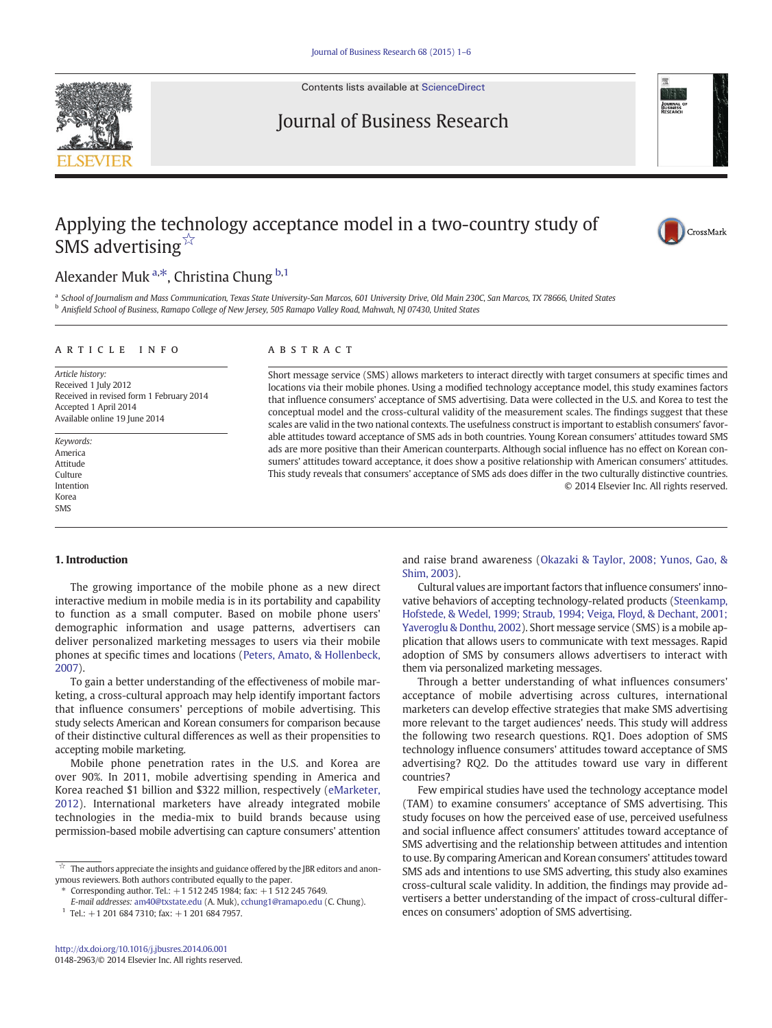Contents lists available at [ScienceDirect](http://www.sciencedirect.com/science/journal/01482963)

# Journal of Business Research

# Applying the technology acceptance model in a two-country study of SMS advertising $\sqrt[3]{x}$



## Alexander Muk <sup>a,\*</sup>, Christina Chung <sup>b,1</sup>

a School of Journalism and Mass Communication, Texas State University-San Marcos, 601 University Drive, Old Main 230C, San Marcos, TX 78666, United States <sup>b</sup> Anisfield School of Business, Ramapo College of New Jersey, 505 Ramapo Valley Road, Mahwah, NJ 07430, United States

#### article info abstract

Article history: Received 1 July 2012 Received in revised form 1 February 2014 Accepted 1 April 2014 Available online 19 June 2014

Keywords: America Attitude Culture Intention Korea SMS

Short message service (SMS) allows marketers to interact directly with target consumers at specific times and locations via their mobile phones. Using a modified technology acceptance model, this study examines factors that influence consumers' acceptance of SMS advertising. Data were collected in the U.S. and Korea to test the conceptual model and the cross-cultural validity of the measurement scales. The findings suggest that these scales are valid in the two national contexts. The usefulness construct is important to establish consumers' favorable attitudes toward acceptance of SMS ads in both countries. Young Korean consumers' attitudes toward SMS ads are more positive than their American counterparts. Although social influence has no effect on Korean consumers' attitudes toward acceptance, it does show a positive relationship with American consumers' attitudes. This study reveals that consumers' acceptance of SMS ads does differ in the two culturally distinctive countries. © 2014 Elsevier Inc. All rights reserved.

#### 1. Introduction

The growing importance of the mobile phone as a new direct interactive medium in mobile media is in its portability and capability to function as a small computer. Based on mobile phone users' demographic information and usage patterns, advertisers can deliver personalized marketing messages to users via their mobile phones at specific times and locations ([Peters, Amato, & Hollenbeck,](#page-5-0) [2007](#page-5-0)).

To gain a better understanding of the effectiveness of mobile marketing, a cross-cultural approach may help identify important factors that influence consumers' perceptions of mobile advertising. This study selects American and Korean consumers for comparison because of their distinctive cultural differences as well as their propensities to accepting mobile marketing.

Mobile phone penetration rates in the U.S. and Korea are over 90%. In 2011, mobile advertising spending in America and Korea reached \$1 billion and \$322 million, respectively ([eMarketer,](#page-5-0) [2012\)](#page-5-0). International marketers have already integrated mobile technologies in the media-mix to build brands because using permission-based mobile advertising can capture consumers' attention

 $1$  Tel.: +1 201 684 7310; fax: +1 201 684 7957.

and raise brand awareness [\(Okazaki & Taylor, 2008; Yunos, Gao, &](#page-5-0) [Shim, 2003](#page-5-0)).

Cultural values are important factors that influence consumers' innovative behaviors of accepting technology-related products [\(Steenkamp,](#page-5-0) [Hofstede, & Wedel, 1999; Straub, 1994; Veiga, Floyd, & Dechant, 2001;](#page-5-0) [Yaveroglu & Donthu, 2002](#page-5-0)). Short message service (SMS) is a mobile application that allows users to communicate with text messages. Rapid adoption of SMS by consumers allows advertisers to interact with them via personalized marketing messages.

Through a better understanding of what influences consumers' acceptance of mobile advertising across cultures, international marketers can develop effective strategies that make SMS advertising more relevant to the target audiences' needs. This study will address the following two research questions. RQ1. Does adoption of SMS technology influence consumers' attitudes toward acceptance of SMS advertising? RQ2. Do the attitudes toward use vary in different countries?

Few empirical studies have used the technology acceptance model (TAM) to examine consumers' acceptance of SMS advertising. This study focuses on how the perceived ease of use, perceived usefulness and social influence affect consumers' attitudes toward acceptance of SMS advertising and the relationship between attitudes and intention to use. By comparing American and Korean consumers' attitudes toward SMS ads and intentions to use SMS adverting, this study also examines cross-cultural scale validity. In addition, the findings may provide advertisers a better understanding of the impact of cross-cultural differences on consumers' adoption of SMS advertising.

 $\vec{r}$  The authors appreciate the insights and guidance offered by the JBR editors and anonymous reviewers. Both authors contributed equally to the paper.

<sup>⁎</sup> Corresponding author. Tel.: +1 512 245 1984; fax: +1 512 245 7649.

E-mail addresses: [am40@txstate.edu](mailto:am40@txstate.edu) (A. Muk), [cchung1@ramapo.edu](mailto:cchung1@ramapo.edu) (C. Chung).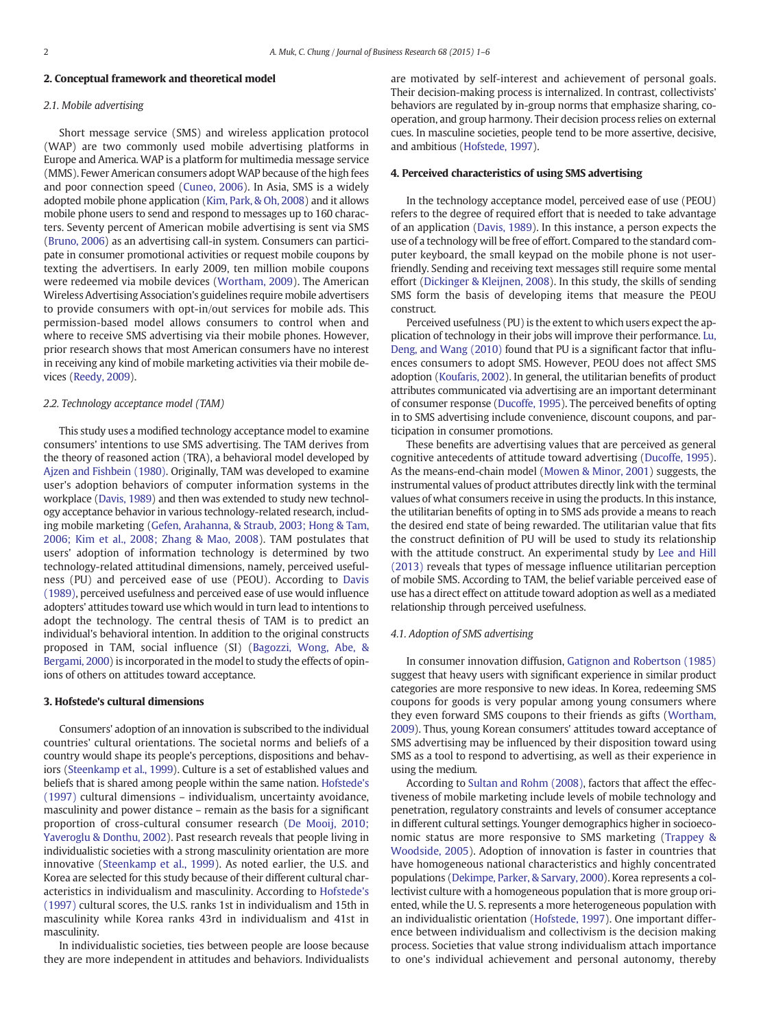#### 2. Conceptual framework and theoretical model

#### 2.1. Mobile advertising

Short message service (SMS) and wireless application protocol (WAP) are two commonly used mobile advertising platforms in Europe and America. WAP is a platform for multimedia message service (MMS). Fewer American consumers adopt WAP because of the high fees and poor connection speed [\(Cuneo, 2006\)](#page-5-0). In Asia, SMS is a widely adopted mobile phone application [\(Kim, Park, & Oh, 2008\)](#page-5-0) and it allows mobile phone users to send and respond to messages up to 160 characters. Seventy percent of American mobile advertising is sent via SMS [\(Bruno, 2006\)](#page-5-0) as an advertising call-in system. Consumers can participate in consumer promotional activities or request mobile coupons by texting the advertisers. In early 2009, ten million mobile coupons were redeemed via mobile devices ([Wortham, 2009](#page-5-0)). The American Wireless Advertising Association's guidelines require mobile advertisers to provide consumers with opt-in/out services for mobile ads. This permission-based model allows consumers to control when and where to receive SMS advertising via their mobile phones. However, prior research shows that most American consumers have no interest in receiving any kind of mobile marketing activities via their mobile devices ([Reedy, 2009](#page-5-0)).

#### 2.2. Technology acceptance model (TAM)

This study uses a modified technology acceptance model to examine consumers' intentions to use SMS advertising. The TAM derives from the theory of reasoned action (TRA), a behavioral model developed by [Ajzen and Fishbein \(1980\)](#page-5-0). Originally, TAM was developed to examine user's adoption behaviors of computer information systems in the workplace [\(Davis, 1989\)](#page-5-0) and then was extended to study new technology acceptance behavior in various technology-related research, including mobile marketing ([Gefen, Arahanna, & Straub, 2003; Hong & Tam,](#page-5-0) [2006; Kim et al., 2008; Zhang & Mao, 2008\)](#page-5-0). TAM postulates that users' adoption of information technology is determined by two technology-related attitudinal dimensions, namely, perceived usefulness (PU) and perceived ease of use (PEOU). According to [Davis](#page-5-0) [\(1989\)](#page-5-0), perceived usefulness and perceived ease of use would influence adopters' attitudes toward use which would in turn lead to intentions to adopt the technology. The central thesis of TAM is to predict an individual's behavioral intention. In addition to the original constructs proposed in TAM, social influence (SI) [\(Bagozzi, Wong, Abe, &](#page-5-0) [Bergami, 2000](#page-5-0)) is incorporated in the model to study the effects of opinions of others on attitudes toward acceptance.

#### 3. Hofstede's cultural dimensions

Consumers' adoption of an innovation is subscribed to the individual countries' cultural orientations. The societal norms and beliefs of a country would shape its people's perceptions, dispositions and behaviors ([Steenkamp et al., 1999](#page-5-0)). Culture is a set of established values and beliefs that is shared among people within the same nation. [Hofstede's](#page-5-0) [\(1997\)](#page-5-0) cultural dimensions – individualism, uncertainty avoidance, masculinity and power distance – remain as the basis for a significant proportion of cross-cultural consumer research [\(De Mooij, 2010;](#page-5-0) [Yaveroglu & Donthu, 2002](#page-5-0)). Past research reveals that people living in individualistic societies with a strong masculinity orientation are more innovative [\(Steenkamp et al., 1999\)](#page-5-0). As noted earlier, the U.S. and Korea are selected for this study because of their different cultural characteristics in individualism and masculinity. According to [Hofstede's](#page-5-0) [\(1997\)](#page-5-0) cultural scores, the U.S. ranks 1st in individualism and 15th in masculinity while Korea ranks 43rd in individualism and 41st in masculinity.

In individualistic societies, ties between people are loose because they are more independent in attitudes and behaviors. Individualists are motivated by self-interest and achievement of personal goals. Their decision-making process is internalized. In contrast, collectivists' behaviors are regulated by in-group norms that emphasize sharing, cooperation, and group harmony. Their decision process relies on external cues. In masculine societies, people tend to be more assertive, decisive, and ambitious [\(Hofstede, 1997](#page-5-0)).

#### 4. Perceived characteristics of using SMS advertising

In the technology acceptance model, perceived ease of use (PEOU) refers to the degree of required effort that is needed to take advantage of an application [\(Davis, 1989\)](#page-5-0). In this instance, a person expects the use of a technology will be free of effort. Compared to the standard computer keyboard, the small keypad on the mobile phone is not userfriendly. Sending and receiving text messages still require some mental effort [\(Dickinger & Kleijnen, 2008\)](#page-5-0). In this study, the skills of sending SMS form the basis of developing items that measure the PEOU construct.

Perceived usefulness (PU) is the extent to which users expect the application of technology in their jobs will improve their performance. [Lu,](#page-5-0) [Deng, and Wang \(2010\)](#page-5-0) found that PU is a significant factor that influences consumers to adopt SMS. However, PEOU does not affect SMS adoption ([Koufaris, 2002](#page-5-0)). In general, the utilitarian benefits of product attributes communicated via advertising are an important determinant of consumer response [\(Ducoffe, 1995\)](#page-5-0). The perceived benefits of opting in to SMS advertising include convenience, discount coupons, and participation in consumer promotions.

These benefits are advertising values that are perceived as general cognitive antecedents of attitude toward advertising ([Ducoffe, 1995](#page-5-0)). As the means-end-chain model ([Mowen & Minor, 2001\)](#page-5-0) suggests, the instrumental values of product attributes directly link with the terminal values of what consumers receive in using the products. In this instance, the utilitarian benefits of opting in to SMS ads provide a means to reach the desired end state of being rewarded. The utilitarian value that fits the construct definition of PU will be used to study its relationship with the attitude construct. An experimental study by [Lee and Hill](#page-5-0) [\(2013\)](#page-5-0) reveals that types of message influence utilitarian perception of mobile SMS. According to TAM, the belief variable perceived ease of use has a direct effect on attitude toward adoption as well as a mediated relationship through perceived usefulness.

#### 4.1. Adoption of SMS advertising

In consumer innovation diffusion, [Gatignon and Robertson \(1985\)](#page-5-0) suggest that heavy users with significant experience in similar product categories are more responsive to new ideas. In Korea, redeeming SMS coupons for goods is very popular among young consumers where they even forward SMS coupons to their friends as gifts ([Wortham,](#page-5-0) [2009\)](#page-5-0). Thus, young Korean consumers' attitudes toward acceptance of SMS advertising may be influenced by their disposition toward using SMS as a tool to respond to advertising, as well as their experience in using the medium.

According to [Sultan and Rohm \(2008\)](#page-5-0), factors that affect the effectiveness of mobile marketing include levels of mobile technology and penetration, regulatory constraints and levels of consumer acceptance in different cultural settings. Younger demographics higher in socioeconomic status are more responsive to SMS marketing [\(Trappey &](#page-5-0) [Woodside, 2005\)](#page-5-0). Adoption of innovation is faster in countries that have homogeneous national characteristics and highly concentrated populations ([Dekimpe, Parker, & Sarvary, 2000\)](#page-5-0). Korea represents a collectivist culture with a homogeneous population that is more group oriented, while the U. S. represents a more heterogeneous population with an individualistic orientation [\(Hofstede, 1997\)](#page-5-0). One important difference between individualism and collectivism is the decision making process. Societies that value strong individualism attach importance to one's individual achievement and personal autonomy, thereby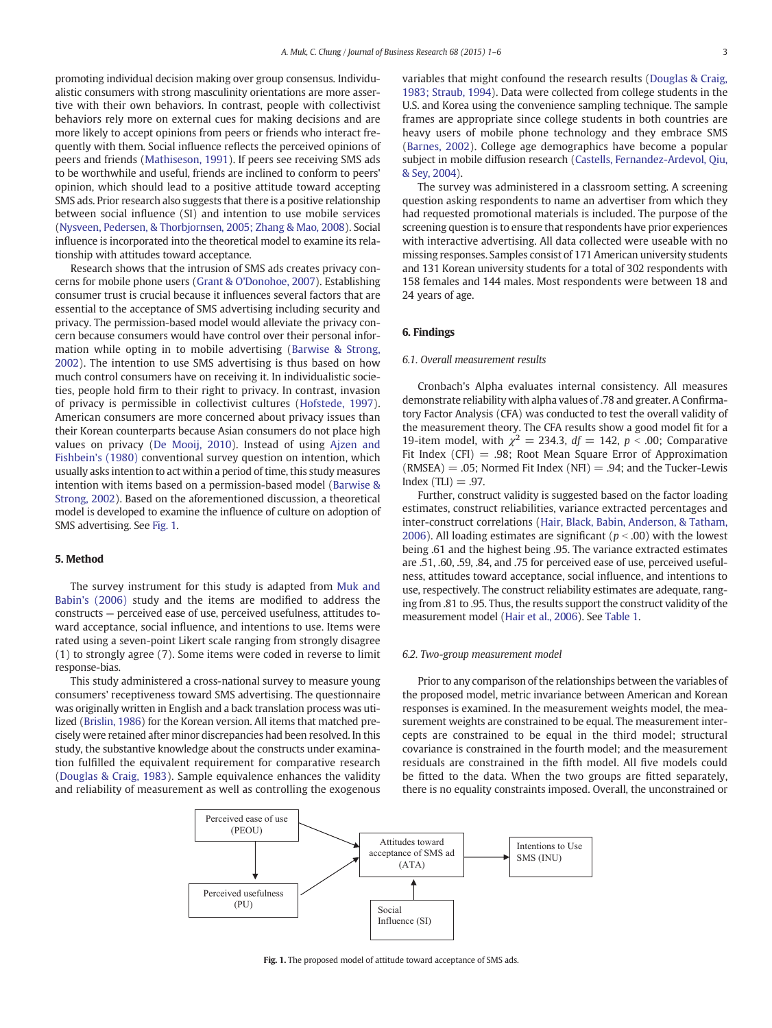promoting individual decision making over group consensus. Individualistic consumers with strong masculinity orientations are more assertive with their own behaviors. In contrast, people with collectivist behaviors rely more on external cues for making decisions and are more likely to accept opinions from peers or friends who interact frequently with them. Social influence reflects the perceived opinions of peers and friends ([Mathiseson, 1991](#page-5-0)). If peers see receiving SMS ads to be worthwhile and useful, friends are inclined to conform to peers' opinion, which should lead to a positive attitude toward accepting SMS ads. Prior research also suggests that there is a positive relationship between social influence (SI) and intention to use mobile services [\(Nysveen, Pedersen, & Thorbjornsen, 2005; Zhang & Mao, 2008\)](#page-5-0). Social influence is incorporated into the theoretical model to examine its relationship with attitudes toward acceptance.

Research shows that the intrusion of SMS ads creates privacy concerns for mobile phone users ([Grant & O'Donohoe, 2007](#page-5-0)). Establishing consumer trust is crucial because it influences several factors that are essential to the acceptance of SMS advertising including security and privacy. The permission-based model would alleviate the privacy concern because consumers would have control over their personal information while opting in to mobile advertising [\(Barwise & Strong,](#page-5-0) [2002\)](#page-5-0). The intention to use SMS advertising is thus based on how much control consumers have on receiving it. In individualistic societies, people hold firm to their right to privacy. In contrast, invasion of privacy is permissible in collectivist cultures [\(Hofstede, 1997](#page-5-0)). American consumers are more concerned about privacy issues than their Korean counterparts because Asian consumers do not place high values on privacy ([De Mooij, 2010\)](#page-5-0). Instead of using [Ajzen and](#page-5-0) [Fishbein's \(1980\)](#page-5-0) conventional survey question on intention, which usually asks intention to act within a period of time, this study measures intention with items based on a permission-based model ([Barwise &](#page-5-0) [Strong, 2002\)](#page-5-0). Based on the aforementioned discussion, a theoretical model is developed to examine the influence of culture on adoption of SMS advertising. See Fig. 1.

#### 5. Method

The survey instrument for this study is adapted from [Muk and](#page-5-0) [Babin's \(2006\)](#page-5-0) study and the items are modified to address the constructs — perceived ease of use, perceived usefulness, attitudes toward acceptance, social influence, and intentions to use. Items were rated using a seven-point Likert scale ranging from strongly disagree (1) to strongly agree (7). Some items were coded in reverse to limit response-bias.

This study administered a cross-national survey to measure young consumers' receptiveness toward SMS advertising. The questionnaire was originally written in English and a back translation process was utilized ([Brislin, 1986\)](#page-5-0) for the Korean version. All items that matched precisely were retained after minor discrepancies had been resolved. In this study, the substantive knowledge about the constructs under examination fulfilled the equivalent requirement for comparative research [\(Douglas & Craig, 1983\)](#page-5-0). Sample equivalence enhances the validity and reliability of measurement as well as controlling the exogenous variables that might confound the research results ([Douglas & Craig,](#page-5-0) [1983; Straub, 1994](#page-5-0)). Data were collected from college students in the U.S. and Korea using the convenience sampling technique. The sample frames are appropriate since college students in both countries are heavy users of mobile phone technology and they embrace SMS [\(Barnes, 2002\)](#page-5-0). College age demographics have become a popular subject in mobile diffusion research [\(Castells, Fernandez-Ardevol, Qiu,](#page-5-0) [& Sey, 2004](#page-5-0)).

The survey was administered in a classroom setting. A screening question asking respondents to name an advertiser from which they had requested promotional materials is included. The purpose of the screening question is to ensure that respondents have prior experiences with interactive advertising. All data collected were useable with no missing responses. Samples consist of 171 American university students and 131 Korean university students for a total of 302 respondents with 158 females and 144 males. Most respondents were between 18 and 24 years of age.

### 6. Findings

#### 6.1. Overall measurement results

Cronbach's Alpha evaluates internal consistency. All measures demonstrate reliability with alpha values of .78 and greater. A Confirmatory Factor Analysis (CFA) was conducted to test the overall validity of the measurement theory. The CFA results show a good model fit for a 19-item model, with  $\chi^2 = 234.3$ ,  $df = 142$ ,  $p < .00$ ; Comparative Fit Index (CFI) = .98; Root Mean Square Error of Approximation  $(RMSEA) = .05$ ; Normed Fit Index (NFI) = .94; and the Tucker-Lewis Index  $(TLI) = .97$ .

Further, construct validity is suggested based on the factor loading estimates, construct reliabilities, variance extracted percentages and inter-construct correlations [\(Hair, Black, Babin, Anderson, & Tatham,](#page-5-0) [2006\)](#page-5-0). All loading estimates are significant ( $p < .00$ ) with the lowest being .61 and the highest being .95. The variance extracted estimates are .51, .60, .59, .84, and .75 for perceived ease of use, perceived usefulness, attitudes toward acceptance, social influence, and intentions to use, respectively. The construct reliability estimates are adequate, ranging from .81 to .95. Thus, the results support the construct validity of the measurement model ([Hair et al., 2006\)](#page-5-0). See [Table 1.](#page-3-0)

#### 6.2. Two-group measurement model

Prior to any comparison of the relationships between the variables of the proposed model, metric invariance between American and Korean responses is examined. In the measurement weights model, the measurement weights are constrained to be equal. The measurement intercepts are constrained to be equal in the third model; structural covariance is constrained in the fourth model; and the measurement residuals are constrained in the fifth model. All five models could be fitted to the data. When the two groups are fitted separately, there is no equality constraints imposed. Overall, the unconstrained or



Fig. 1. The proposed model of attitude toward acceptance of SMS ads.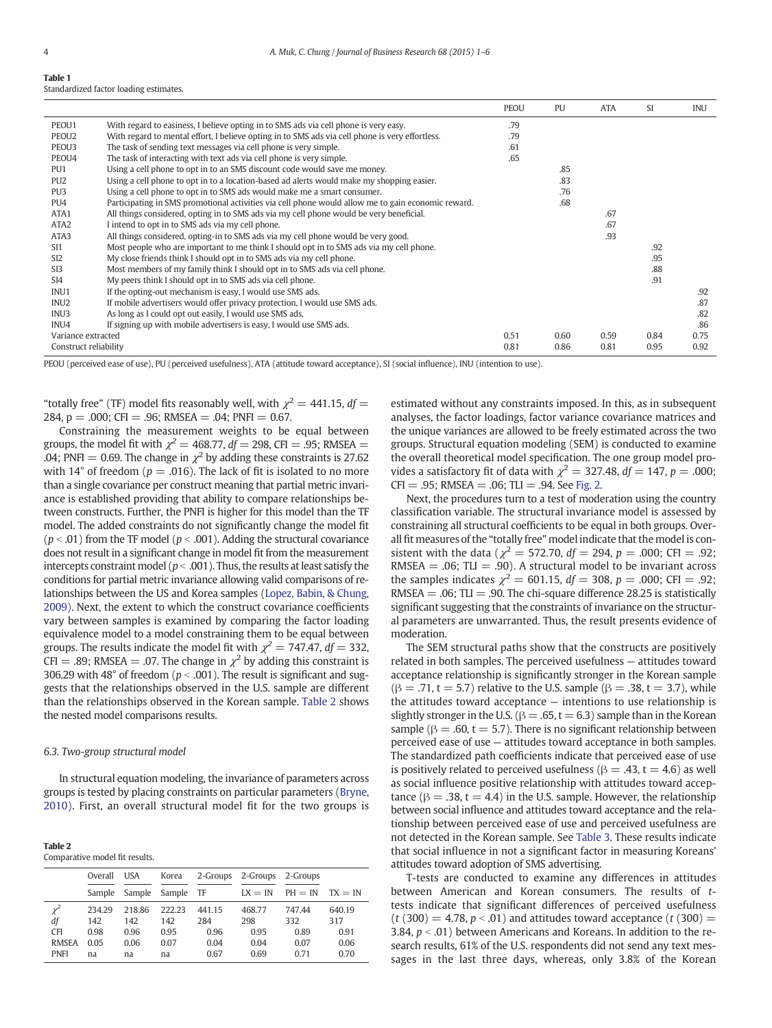<span id="page-3-0"></span>Table 1 Standardized factor loading estimates.

|                       |                                                                                                    | <b>PEOU</b> | PU   | <b>ATA</b> | SI   | INU  |
|-----------------------|----------------------------------------------------------------------------------------------------|-------------|------|------------|------|------|
| PEOU1                 | With regard to easiness, I believe opting in to SMS ads via cell phone is very easy.               | .79         |      |            |      |      |
| PEOU <sub>2</sub>     | With regard to mental effort, I believe opting in to SMS ads via cell phone is very effortless.    | .79         |      |            |      |      |
| PEOU3                 | The task of sending text messages via cell phone is very simple.                                   | .61         |      |            |      |      |
| PEOU4                 | The task of interacting with text ads via cell phone is very simple.                               | .65         |      |            |      |      |
| PU1                   | Using a cell phone to opt in to an SMS discount code would save me money.                          |             | .85  |            |      |      |
| PU <sub>2</sub>       | Using a cell phone to opt in to a location-based ad alerts would make my shopping easier.          |             | .83  |            |      |      |
| PU <sub>3</sub>       | Using a cell phone to opt in to SMS ads would make me a smart consumer.                            |             | .76  |            |      |      |
| PU <sub>4</sub>       | Participating in SMS promotional activities via cell phone would allow me to gain economic reward. |             | .68  |            |      |      |
| ATA1                  | All things considered, opting in to SMS ads via my cell phone would be very beneficial.            |             |      | .67        |      |      |
| ATA <sub>2</sub>      | I intend to opt in to SMS ads via my cell phone.                                                   |             |      | .67        |      |      |
| ATA3                  | All things considered, opting-in to SMS ads via my cell phone would be very good.                  |             |      | .93        |      |      |
| SI <sub>1</sub>       | Most people who are important to me think I should opt in to SMS ads via my cell phone.            |             |      |            | .92  |      |
| SI <sub>2</sub>       | My close friends think I should opt in to SMS ads via my cell phone.                               |             |      |            | .95  |      |
| SI3                   | Most members of my family think I should opt in to SMS ads via cell phone.                         |             |      |            | .88  |      |
| SI4                   | My peers think I should opt in to SMS ads via cell phone.                                          |             |      |            | .91  |      |
| INU1                  | If the opting-out mechanism is easy, I would use SMS ads.                                          |             |      |            |      | .92  |
| INU <sub>2</sub>      | If mobile advertisers would offer privacy protection, I would use SMS ads.                         |             |      |            |      | .87  |
| INU3                  | As long as I could opt out easily, I would use SMS ads.                                            |             |      |            |      | .82  |
| INU4                  | If signing up with mobile advertisers is easy, I would use SMS ads.                                |             |      |            |      | .86  |
| Variance extracted    |                                                                                                    | 0.51        | 0.60 | 0.59       | 0.84 | 0.75 |
| Construct reliability |                                                                                                    | 0.81        | 0.86 | 0.81       | 0.95 | 0.92 |

PEOU (perceived ease of use), PU (perceived usefulness), ATA (attitude toward acceptance), SI (social influence), INU (intention to use).

"totally free" (TF) model fits reasonably well, with  $\chi^2 = 441.15$ ,  $df =$ 284,  $p = .000$ ; CFI = .96; RMSEA = .04; PNFI = 0.67.

Constraining the measurement weights to be equal between groups, the model fit with  $\chi^2 = 468.77$ ,  $df = 298$ , CFI = .95; RMSEA = .04; PNFI = 0.69. The change in  $\chi^2$  by adding these constraints is 27.62 with 14 $^{\circ}$  of freedom ( $p = .016$ ). The lack of fit is isolated to no more than a single covariance per construct meaning that partial metric invariance is established providing that ability to compare relationships between constructs. Further, the PNFI is higher for this model than the TF model. The added constraints do not significantly change the model fit ( $p < .01$ ) from the TF model ( $p < .001$ ). Adding the structural covariance does not result in a significant change in model fit from the measurement intercepts constraint model ( $p < .001$ ). Thus, the results at least satisfy the conditions for partial metric invariance allowing valid comparisons of relationships between the US and Korea samples ([Lopez, Babin, & Chung,](#page-5-0) [2009\)](#page-5-0). Next, the extent to which the construct covariance coefficients vary between samples is examined by comparing the factor loading equivalence model to a model constraining them to be equal between groups. The results indicate the model fit with  $\chi^2 = 747.47$ ,  $df = 332$ , CFI = .89; RMSEA = .07. The change in  $\chi^2$  by adding this constraint is 306.29 with 48 $^{\circ}$  of freedom ( $p < .001$ ). The result is significant and suggests that the relationships observed in the U.S. sample are different than the relationships observed in the Korean sample. Table 2 shows the nested model comparisons results.

#### 6.3. Two-group structural model

In structural equation modeling, the invariance of parameters across groups is tested by placing constraints on particular parameters [\(Bryne,](#page-5-0) [2010](#page-5-0)). First, an overall structural model fit for the two groups is

| Table 2                        |  |
|--------------------------------|--|
| Comparative model fit results. |  |

|              | Overall | <b>USA</b> | Korea  | 2-Groups | 2-Groups  | 2-Groups  |           |
|--------------|---------|------------|--------|----------|-----------|-----------|-----------|
|              | Sample  | Sample     | Sample | TF       | $IX = IN$ | $PH = IN$ | $TX = IN$ |
| $\chi^2$     | 234.29  | 218.86     | 222.23 | 441.15   | 468.77    | 747.44    | 640.19    |
| df           | 142     | 142        | 142    | 284      | 298       | 332       | 317       |
| <b>CFI</b>   | 0.98    | 0.96       | 0.95   | 0.96     | 0.95      | 0.89      | 0.91      |
| <b>RMSEA</b> | 0.05    | 0.06       | 0.07   | 0.04     | 0.04      | 0.07      | 0.06      |
| <b>PNFI</b>  | na      | na         | na     | 0.67     | 0.69      | 0.71      | 0.70      |

estimated without any constraints imposed. In this, as in subsequent analyses, the factor loadings, factor variance covariance matrices and the unique variances are allowed to be freely estimated across the two groups. Structural equation modeling (SEM) is conducted to examine the overall theoretical model specification. The one group model provides a satisfactory fit of data with  $\chi^2 = 327.48$ ,  $df = 147$ ,  $p = .000$ ;  $CFI = .95$ ; RMSEA =  $.06$ ; TLI =  $.94$ . See [Fig. 2](#page-4-0).

Next, the procedures turn to a test of moderation using the country classification variable. The structural invariance model is assessed by constraining all structural coefficients to be equal in both groups. Overall fit measures of the "totally free" model indicate that the model is consistent with the data ( $\chi^2 = 572.70$ ,  $df = 294$ ,  $p = .000$ ; CFI = .92;  $RMSEA = .06$ ; TLI = .90). A structural model to be invariant across the samples indicates  $\chi^2 = 601.15$ ,  $df = 308$ ,  $p = .000$ ; CFI = .92; RMSEA  $= .06$ ; TLI  $= .90$ . The chi-square difference 28.25 is statistically significant suggesting that the constraints of invariance on the structural parameters are unwarranted. Thus, the result presents evidence of moderation.

The SEM structural paths show that the constructs are positively related in both samples. The perceived usefulness — attitudes toward acceptance relationship is significantly stronger in the Korean sample  $(β = .71, t = 5.7)$  relative to the U.S. sample  $(β = .38, t = 3.7)$ , while the attitudes toward acceptance — intentions to use relationship is slightly stronger in the U.S. ( $\beta = .65$ , t = 6.3) sample than in the Korean sample ( $\beta = .60$ , t = 5.7). There is no significant relationship between perceived ease of use — attitudes toward acceptance in both samples. The standardized path coefficients indicate that perceived ease of use is positively related to perceived usefulness ( $\beta = .43$ , t = 4.6) as well as social influence positive relationship with attitudes toward acceptance ( $\beta = 0.38$ , t = 4.4) in the U.S. sample. However, the relationship between social influence and attitudes toward acceptance and the relationship between perceived ease of use and perceived usefulness are not detected in the Korean sample. See [Table 3.](#page-4-0) These results indicate that social influence in not a significant factor in measuring Koreans' attitudes toward adoption of SMS advertising.

T-tests are conducted to examine any differences in attitudes between American and Korean consumers. The results of ttests indicate that significant differences of perceived usefulness  $(t (300) = 4.78, p < .01)$  and attitudes toward acceptance (t (300) = 3.84,  $p < .01$ ) between Americans and Koreans. In addition to the research results, 61% of the U.S. respondents did not send any text messages in the last three days, whereas, only 3.8% of the Korean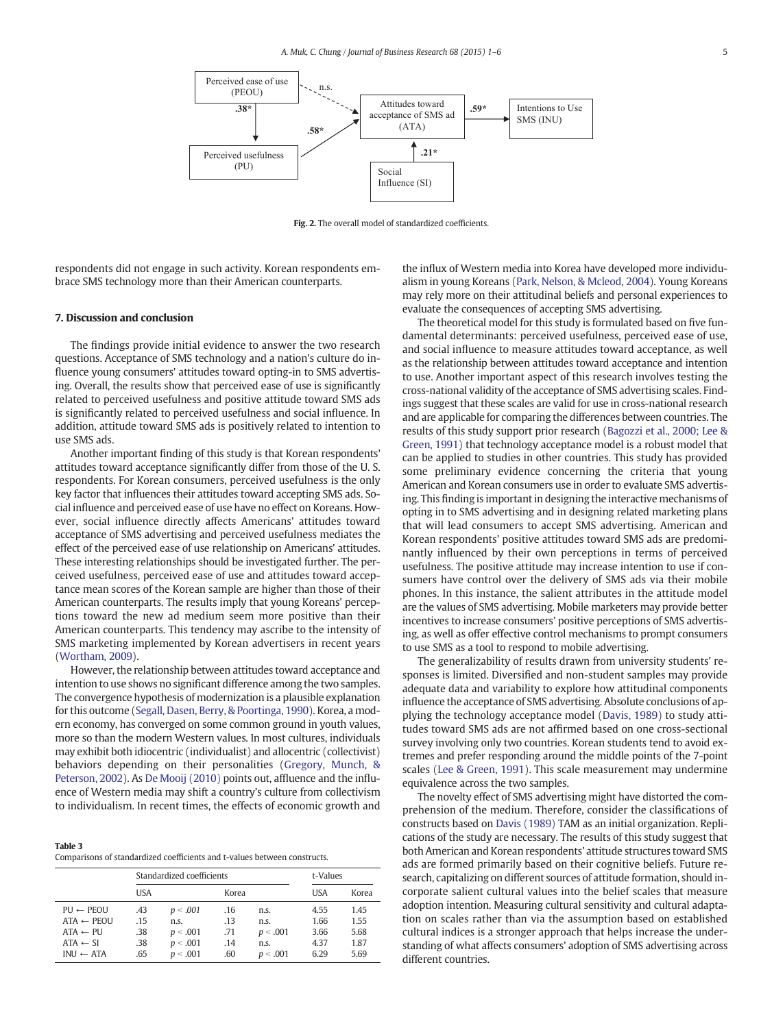<span id="page-4-0"></span>

Fig. 2. The overall model of standardized coefficients.

respondents did not engage in such activity. Korean respondents embrace SMS technology more than their American counterparts.

#### 7. Discussion and conclusion

The findings provide initial evidence to answer the two research questions. Acceptance of SMS technology and a nation's culture do influence young consumers' attitudes toward opting-in to SMS advertising. Overall, the results show that perceived ease of use is significantly related to perceived usefulness and positive attitude toward SMS ads is significantly related to perceived usefulness and social influence. In addition, attitude toward SMS ads is positively related to intention to use SMS ads.

Another important finding of this study is that Korean respondents' attitudes toward acceptance significantly differ from those of the U. S. respondents. For Korean consumers, perceived usefulness is the only key factor that influences their attitudes toward accepting SMS ads. Social influence and perceived ease of use have no effect on Koreans. However, social influence directly affects Americans' attitudes toward acceptance of SMS advertising and perceived usefulness mediates the effect of the perceived ease of use relationship on Americans' attitudes. These interesting relationships should be investigated further. The perceived usefulness, perceived ease of use and attitudes toward acceptance mean scores of the Korean sample are higher than those of their American counterparts. The results imply that young Koreans' perceptions toward the new ad medium seem more positive than their American counterparts. This tendency may ascribe to the intensity of SMS marketing implemented by Korean advertisers in recent years [\(Wortham, 2009\)](#page-5-0).

However, the relationship between attitudes toward acceptance and intention to use shows no significant difference among the two samples. The convergence hypothesis of modernization is a plausible explanation for this outcome ([Segall, Dasen, Berry, & Poortinga, 1990](#page-5-0)). Korea, a modern economy, has converged on some common ground in youth values, more so than the modern Western values. In most cultures, individuals may exhibit both idiocentric (individualist) and allocentric (collectivist) behaviors depending on their personalities [\(Gregory, Munch, &](#page-5-0) [Peterson, 2002\)](#page-5-0). As [De Mooij \(2010\)](#page-5-0) points out, affluence and the influence of Western media may shift a country's culture from collectivism to individualism. In recent times, the effects of economic growth and

Table 3 Comparisons of standardized coefficients and t-values between constructs.

|                                                                                                                             |                                 | Standardized coefficients                            | t-Values                        |                                              |                                      |                                      |
|-----------------------------------------------------------------------------------------------------------------------------|---------------------------------|------------------------------------------------------|---------------------------------|----------------------------------------------|--------------------------------------|--------------------------------------|
|                                                                                                                             | <b>USA</b>                      |                                                      | Korea                           |                                              | USA                                  | Korea                                |
| $PI \leftarrow PEOU$<br>$ATA \leftarrow PFOII$<br>$ATA \leftarrow \text{PI}$<br>$ATA \leftarrow SI$<br>$INU \leftarrow ATA$ | .43<br>.15<br>.38<br>.38<br>.65 | p < .001<br>n.s.<br>p < .001<br>p < .001<br>p < .001 | .16<br>.13<br>.71<br>.14<br>.60 | n.s.<br>n.s.<br>p < .001<br>n.s.<br>p < .001 | 4.55<br>1.66<br>3.66<br>4.37<br>6.29 | 1.45<br>1.55<br>5.68<br>1.87<br>5.69 |

the influx of Western media into Korea have developed more individualism in young Koreans [\(Park, Nelson, & Mcleod, 2004](#page-5-0)). Young Koreans may rely more on their attitudinal beliefs and personal experiences to evaluate the consequences of accepting SMS advertising.

The theoretical model for this study is formulated based on five fundamental determinants: perceived usefulness, perceived ease of use, and social influence to measure attitudes toward acceptance, as well as the relationship between attitudes toward acceptance and intention to use. Another important aspect of this research involves testing the cross-national validity of the acceptance of SMS advertising scales. Findings suggest that these scales are valid for use in cross-national research and are applicable for comparing the differences between countries. The results of this study support prior research ([Bagozzi et al., 2000; Lee &](#page-5-0) [Green, 1991\)](#page-5-0) that technology acceptance model is a robust model that can be applied to studies in other countries. This study has provided some preliminary evidence concerning the criteria that young American and Korean consumers use in order to evaluate SMS advertising. This finding is important in designing the interactive mechanisms of opting in to SMS advertising and in designing related marketing plans that will lead consumers to accept SMS advertising. American and Korean respondents' positive attitudes toward SMS ads are predominantly influenced by their own perceptions in terms of perceived usefulness. The positive attitude may increase intention to use if consumers have control over the delivery of SMS ads via their mobile phones. In this instance, the salient attributes in the attitude model are the values of SMS advertising. Mobile marketers may provide better incentives to increase consumers' positive perceptions of SMS advertising, as well as offer effective control mechanisms to prompt consumers to use SMS as a tool to respond to mobile advertising.

The generalizability of results drawn from university students' responses is limited. Diversified and non-student samples may provide adequate data and variability to explore how attitudinal components influence the acceptance of SMS advertising. Absolute conclusions of applying the technology acceptance model ([Davis, 1989\)](#page-5-0) to study attitudes toward SMS ads are not affirmed based on one cross-sectional survey involving only two countries. Korean students tend to avoid extremes and prefer responding around the middle points of the 7-point scales ([Lee & Green, 1991\)](#page-5-0). This scale measurement may undermine equivalence across the two samples.

The novelty effect of SMS advertising might have distorted the comprehension of the medium. Therefore, consider the classifications of constructs based on [Davis \(1989\)](#page-5-0) TAM as an initial organization. Replications of the study are necessary. The results of this study suggest that both American and Korean respondents' attitude structures toward SMS ads are formed primarily based on their cognitive beliefs. Future research, capitalizing on different sources of attitude formation, should incorporate salient cultural values into the belief scales that measure adoption intention. Measuring cultural sensitivity and cultural adaptation on scales rather than via the assumption based on established cultural indices is a stronger approach that helps increase the understanding of what affects consumers' adoption of SMS advertising across different countries.